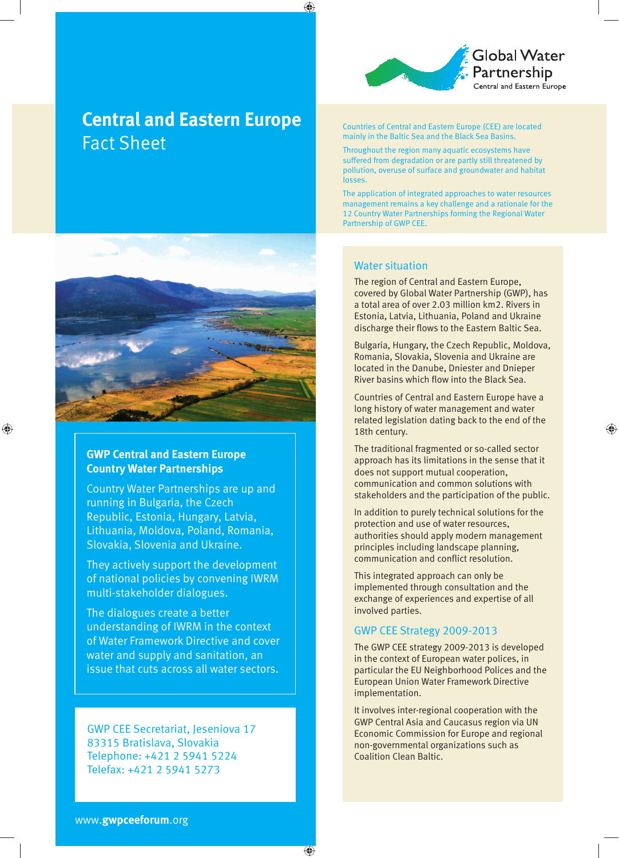

# **Central and Eastern Europe Fact Sheet**



# **GWP Central and Eastern Europe Country Water Partnerships**

♠

Country Water Partnerships are up and running in Bulgaria, the Czech Republic, Estonia, Hungary, Latvia, Lithuania, Moldova, Poland, Romania, Slovakia, Slovenia and Ukraine.

They actively support the development of national policies by convening IWRM multi-stakeholder dialogues.

The dialogues create a better understanding of IWRM in the context of Water Framework Directive and cover water and supply and sanitation, an issue that cuts across all water sectors.

**GWP CEE Secretariat, Jeseniova 17** 83315 Bratislava, Slovakia Telephone: +421 2 5941 5224 Telefax: +421 2 5941 5273

Countries of Central and Eastern Europe (CEE) are located mainly in the Baltic Sea and the Black Sea Basins.

Throughout the region many aquatic ecosystems have suffered from degradation or are partly still threatened by pollution, overuse of surface and groundwater and habitat losses.

The application of integrated approaches to water resources management remains a key challenge and a rationale for the 12 Country Water Partnerships forming the Regional Water Partnership of GWP CEE.

## **Water situation**

♠

The region of Central and Eastern Europe, covered by Global Water Partnership (GWP), has a total area of over 2.03 million km2. Rivers in Estonia, Latvia, Lithuania, Poland and Ukraine discharge their flows to the Eastern Baltic Sea.

Bulgaria, Hungary, the Czech Republic, Moldova, Romania, Slovakia, Slovenia and Ukraine are located in the Danube, Dniester and Dnieper River basins which flow into the Black Sea.

Countries of Central and Eastern Europe have a long history of water management and water related legislation dating back to the end of the 18th century.

♠

The traditional fragmented or so-called sector approach has its limitations in the sense that it does not support mutual cooperation, communication and common solutions with stakeholders and the participation of the public.

In addition to purely technical solutions for the protection and use of water resources, authorities should apply modern management principles including landscape planning, communication and conflict resolution.

This integrated approach can only be implemented through consultation and the exchange of experiences and expertise of all involved parties.

### GWP CEE Strategy 2009-2013

The GWP CEE strategy 2009-2013 is developed in the context of European water polices, in particular the EU Neighborhood Polices and the European Union Water Framework Directive implementation.

It involves inter-regional cooperation with the GWP Central Asia and Caucasus region via UN Economic Commission for Europe and regional non-governmental organizations such as **Coalition Clean Baltic.** 

⊕